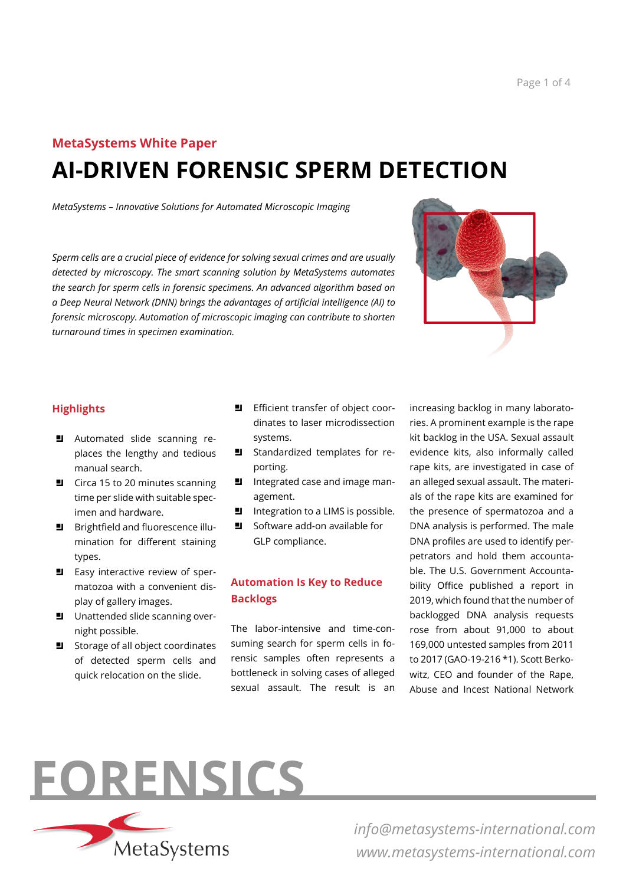# **MetaSystems White Paper AI-DRIVEN FORENSIC SPERM DETECTION**

*MetaSystems – Innovative Solutions for Automated Microscopic Imaging*

*Sperm cells are a crucial piece of evidence for solving sexual crimes and are usually detected by microscopy. The smart scanning solution by MetaSystems automates the search for sperm cells in forensic specimens. An advanced algorithm based on a Deep Neural Network (DNN) brings the advantages of artificial intelligence (AI) to forensic microscopy. Automation of microscopic imaging can contribute to shorten turnaround times in specimen examination.*



#### **Highlights**

- **El** Automated slide scanning replaces the lengthy and tedious manual search.
- $\Box$  Circa 15 to 20 minutes scanning time per slide with suitable specimen and hardware.
- **B** Brightfield and fluorescence illumination for different staining types.
- $\blacksquare$  Easy interactive review of spermatozoa with a convenient display of gallery images.
- $\Box$  Unattended slide scanning overnight possible.
- Storage of all object coordinates of detected sperm cells and quick relocation on the slide.
- **E** Efficient transfer of object coordinates to laser microdissection systems.
- $\blacksquare$  Standardized templates for reporting.
- I Integrated case and image management.
- $\blacksquare$  Integration to a LIMS is possible.
- $\Box$  Software add-on available for GLP compliance.

## **Automation Is Key to Reduce Backlogs**

The labor-intensive and time-consuming search for sperm cells in forensic samples often represents a bottleneck in solving cases of alleged sexual assault. The result is an

increasing backlog in many laboratories. A prominent example is the rape kit backlog in the USA. Sexual assault evidence kits, also informally called rape kits, are investigated in case of an alleged sexual assault. The materials of the rape kits are examined for the presence of spermatozoa and a DNA analysis is performed. The male DNA profiles are used to identify perpetrators and hold them accountable. The U.S. Government Accountability Office published a report in 2019, which found that the number of backlogged DNA analysis requests rose from about 91,000 to about 169,000 untested samples from 2011 to 2017 (GAO-19-216 \*1). Scott Berkowitz, CEO and founder of the Rape, Abuse and Incest National Network



MetaSystems

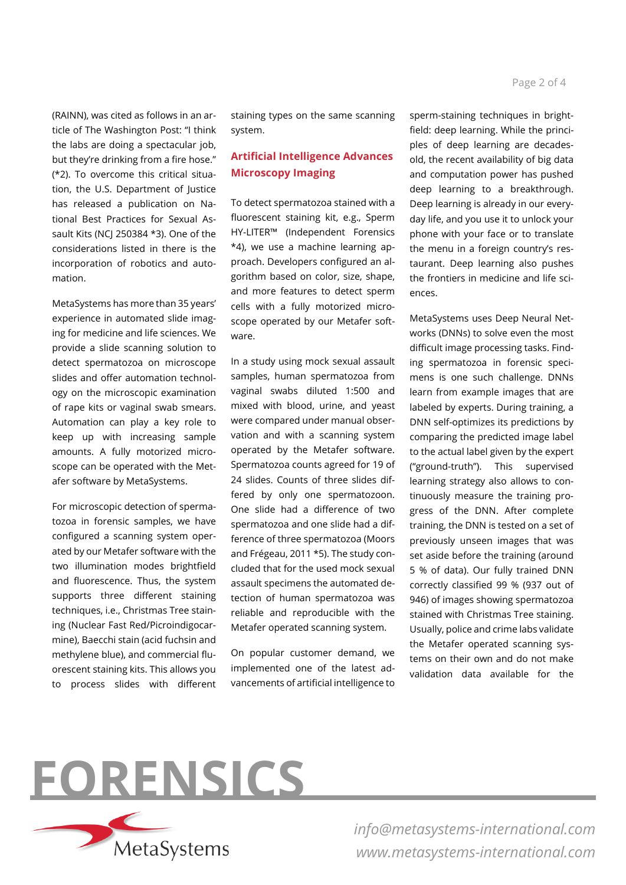(RAINN), was cited as follows in an article of The Washington Post: "I think the labs are doing a spectacular job, but they're drinking from a fire hose." (\*2). To overcome this critical situation, the U.S. Department of Justice has released a publication on National Best Practices for Sexual Assault Kits (NCJ 250384 \*3). One of the considerations listed in there is the incorporation of robotics and automation.

MetaSystems has more than 35 years' experience in automated slide imaging for medicine and life sciences. We provide a slide scanning solution to detect spermatozoa on microscope slides and offer automation technology on the microscopic examination of rape kits or vaginal swab smears. Automation can play a key role to keep up with increasing sample amounts. A fully motorized microscope can be operated with the Metafer software by MetaSystems.

For microscopic detection of spermatozoa in forensic samples, we have configured a scanning system operated by our Metafer software with the two illumination modes brightfield and fluorescence. Thus, the system supports three different staining techniques, i.e., Christmas Tree staining (Nuclear Fast Red/Picroindigocarmine), Baecchi stain (acid fuchsin and methylene blue), and commercial fluorescent staining kits. This allows you to process slides with different

staining types on the same scanning system.

#### **Artificial Intelligence Advances Microscopy Imaging**

To detect spermatozoa stained with a fluorescent staining kit, e.g., Sperm HY-LITER™ (Independent Forensics \*4), we use a machine learning approach. Developers configured an algorithm based on color, size, shape, and more features to detect sperm cells with a fully motorized microscope operated by our Metafer software.

In a study using mock sexual assault samples, human spermatozoa from vaginal swabs diluted 1:500 and mixed with blood, urine, and yeast were compared under manual observation and with a scanning system operated by the Metafer software. Spermatozoa counts agreed for 19 of 24 slides. Counts of three slides differed by only one spermatozoon. One slide had a difference of two spermatozoa and one slide had a difference of three spermatozoa (Moors and Frégeau, 2011 \*5). The study concluded that for the used mock sexual assault specimens the automated detection of human spermatozoa was reliable and reproducible with the Metafer operated scanning system.

On popular customer demand, we implemented one of the latest advancements of artificial intelligence to sperm-staining techniques in brightfield: deep learning. While the principles of deep learning are decadesold, the recent availability of big data and computation power has pushed deep learning to a breakthrough. Deep learning is already in our everyday life, and you use it to unlock your phone with your face or to translate the menu in a foreign country's restaurant. Deep learning also pushes the frontiers in medicine and life sciences.

MetaSystems uses Deep Neural Networks (DNNs) to solve even the most difficult image processing tasks. Finding spermatozoa in forensic specimens is one such challenge. DNNs learn from example images that are labeled by experts. During training, a DNN self-optimizes its predictions by comparing the predicted image label to the actual label given by the expert ("ground-truth"). This supervised learning strategy also allows to continuously measure the training progress of the DNN. After complete training, the DNN is tested on a set of previously unseen images that was set aside before the training (around 5 % of data). Our fully trained DNN correctly classified 99 % (937 out of 946) of images showing spermatozoa stained with Christmas Tree staining. Usually, police and crime labs validate the Metafer operated scanning systems on their own and do not make validation data available for the



*info@metasystems-international.com www.metasystems-international.com*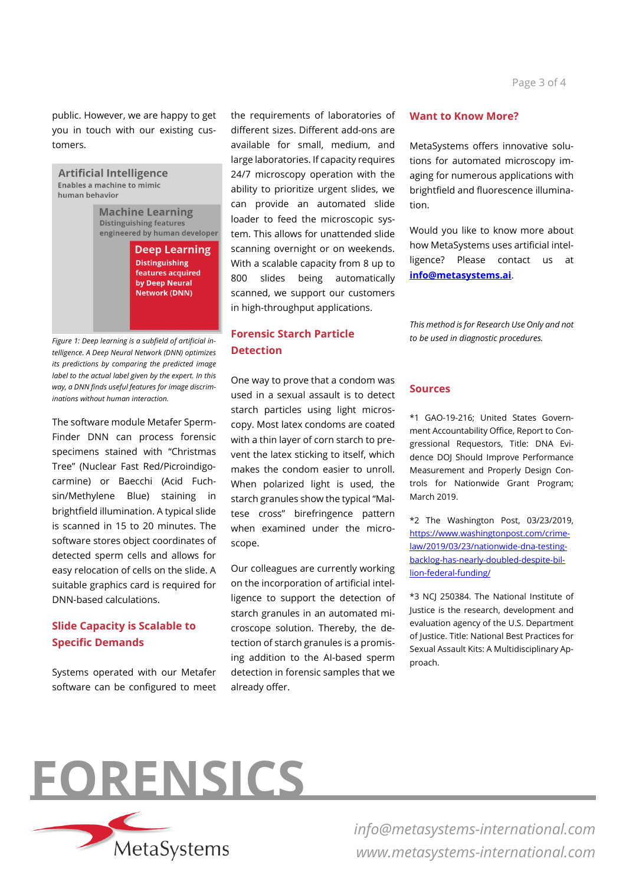public. However, we are happy to get you in touch with our existing customers.

**Artificial Intelligence** Enables a machine to mimic human behavior **Machine Learning Distinguishing features** engineered by human developer **Deep Learning Distinguishing** features acquired by Deep Neural Network (DNN)

*Figure 1: Deep learning is a subfield of artificial intelligence. A Deep Neural Network (DNN) optimizes its predictions by comparing the predicted image label to the actual label given by the expert. In this way, a DNN finds useful features for image discriminations without human interaction.*

The software module Metafer Sperm-Finder DNN can process forensic specimens stained with "Christmas Tree" (Nuclear Fast Red/Picroindigocarmine) or Baecchi (Acid Fuchsin/Methylene Blue) staining in brightfield illumination. A typical slide is scanned in 15 to 20 minutes. The software stores object coordinates of detected sperm cells and allows for easy relocation of cells on the slide. A suitable graphics card is required for DNN-based calculations.

## **Slide Capacity is Scalable to Specific Demands**

Systems operated with our Metafer software can be configured to meet the requirements of laboratories of different sizes. Different add-ons are available for small, medium, and large laboratories. If capacity requires 24/7 microscopy operation with the ability to prioritize urgent slides, we can provide an automated slide loader to feed the microscopic system. This allows for unattended slide scanning overnight or on weekends. With a scalable capacity from 8 up to 800 slides being automatically scanned, we support our customers in high-throughput applications.

### **Forensic Starch Particle Detection**

One way to prove that a condom was used in a sexual assault is to detect starch particles using light microscopy. Most latex condoms are coated with a thin layer of corn starch to prevent the latex sticking to itself, which makes the condom easier to unroll. When polarized light is used, the starch granules show the typical "Maltese cross" birefringence pattern when examined under the microscope.

Our colleagues are currently working on the incorporation of artificial intelligence to support the detection of starch granules in an automated microscope solution. Thereby, the detection of starch granules is a promising addition to the AI-based sperm detection in forensic samples that we already offer.

#### **Want to Know More?**

MetaSystems offers innovative solutions for automated microscopy imaging for numerous applications with brightfield and fluorescence illumination.

Would you like to know more about how MetaSystems uses artificial intelligence? Please contact us at **[info@metasystems.ai](mailto:info@metasystems.ai)**.

*This method is for Research Use Only and not to be used in diagnostic procedures.*

#### **Sources**

\*1 GAO-19-216; United States Government Accountability Office, Report to Congressional Requestors, Title: DNA Evidence DOJ Should Improve Performance Measurement and Properly Design Controls for Nationwide Grant Program; March 2019.

\*2 The Washington Post, 03/23/2019, [https://www.washingtonpost.com/crime](https://www.washingtonpost.com/crime-law/2019/03/23/nationwide-dna-testing-backlog-has-nearly-doubled-despite-billion-federal-funding/)[law/2019/03/23/nationwide-dna-testing](https://www.washingtonpost.com/crime-law/2019/03/23/nationwide-dna-testing-backlog-has-nearly-doubled-despite-billion-federal-funding/)[backlog-has-nearly-doubled-despite-bil](https://www.washingtonpost.com/crime-law/2019/03/23/nationwide-dna-testing-backlog-has-nearly-doubled-despite-billion-federal-funding/)[lion-federal-funding/](https://www.washingtonpost.com/crime-law/2019/03/23/nationwide-dna-testing-backlog-has-nearly-doubled-despite-billion-federal-funding/)

\*3 NCJ 250384. The National Institute of Justice is the research, development and evaluation agency of the U.S. Department of Justice. Title: National Best Practices for Sexual Assault Kits: A Multidisciplinary Approach.



*info@metasystems-international.com www.metasystems-international.com*